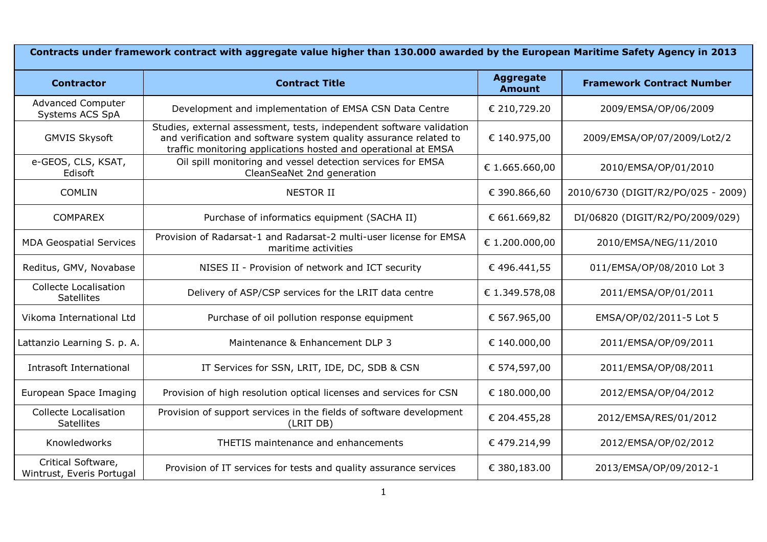| Contracts under framework contract with aggregate value higher than 130.000 awarded by the European Maritime Safety Agency in 2013 |                                                                                                                                                                                                             |                                   |                                    |  |
|------------------------------------------------------------------------------------------------------------------------------------|-------------------------------------------------------------------------------------------------------------------------------------------------------------------------------------------------------------|-----------------------------------|------------------------------------|--|
| <b>Contractor</b>                                                                                                                  | <b>Contract Title</b>                                                                                                                                                                                       | <b>Aggregate</b><br><b>Amount</b> | <b>Framework Contract Number</b>   |  |
| <b>Advanced Computer</b><br>Systems ACS SpA                                                                                        | Development and implementation of EMSA CSN Data Centre                                                                                                                                                      | € 210,729.20                      | 2009/EMSA/OP/06/2009               |  |
| <b>GMVIS Skysoft</b>                                                                                                               | Studies, external assessment, tests, independent software validation<br>and verification and software system quality assurance related to<br>traffic monitoring applications hosted and operational at EMSA | € 140.975,00                      | 2009/EMSA/OP/07/2009/Lot2/2        |  |
| e-GEOS, CLS, KSAT,<br>Edisoft                                                                                                      | Oil spill monitoring and vessel detection services for EMSA<br>CleanSeaNet 2nd generation                                                                                                                   | € 1.665.660,00                    | 2010/EMSA/OP/01/2010               |  |
| COMLIN                                                                                                                             | <b>NESTOR II</b>                                                                                                                                                                                            | € 390.866,60                      | 2010/6730 (DIGIT/R2/PO/025 - 2009) |  |
| <b>COMPAREX</b>                                                                                                                    | Purchase of informatics equipment (SACHA II)                                                                                                                                                                | € 661.669,82                      | DI/06820 (DIGIT/R2/PO/2009/029)    |  |
| <b>MDA Geospatial Services</b>                                                                                                     | Provision of Radarsat-1 and Radarsat-2 multi-user license for EMSA<br>maritime activities                                                                                                                   | € 1.200.000,00                    | 2010/EMSA/NEG/11/2010              |  |
| Reditus, GMV, Novabase                                                                                                             | NISES II - Provision of network and ICT security                                                                                                                                                            | €496.441,55                       | 011/EMSA/OP/08/2010 Lot 3          |  |
| <b>Collecte Localisation</b><br><b>Satellites</b>                                                                                  | Delivery of ASP/CSP services for the LRIT data centre                                                                                                                                                       | € 1.349.578,08                    | 2011/EMSA/OP/01/2011               |  |
| Vikoma International Ltd                                                                                                           | Purchase of oil pollution response equipment                                                                                                                                                                | € 567.965,00                      | EMSA/OP/02/2011-5 Lot 5            |  |
| Lattanzio Learning S. p. A.                                                                                                        | Maintenance & Enhancement DLP 3                                                                                                                                                                             | € 140.000,00                      | 2011/EMSA/OP/09/2011               |  |
| Intrasoft International                                                                                                            | IT Services for SSN, LRIT, IDE, DC, SDB & CSN                                                                                                                                                               | € 574,597,00                      | 2011/EMSA/OP/08/2011               |  |
| European Space Imaging                                                                                                             | Provision of high resolution optical licenses and services for CSN                                                                                                                                          | € 180.000,00                      | 2012/EMSA/OP/04/2012               |  |
| <b>Collecte Localisation</b><br><b>Satellites</b>                                                                                  | Provision of support services in the fields of software development<br>(LRIT DB)                                                                                                                            | € 204.455,28                      | 2012/EMSA/RES/01/2012              |  |
| Knowledworks                                                                                                                       | THETIS maintenance and enhancements                                                                                                                                                                         | €479.214,99                       | 2012/EMSA/OP/02/2012               |  |
| Critical Software,<br>Wintrust, Everis Portugal                                                                                    | Provision of IT services for tests and quality assurance services                                                                                                                                           | € 380,183.00                      | 2013/EMSA/OP/09/2012-1             |  |